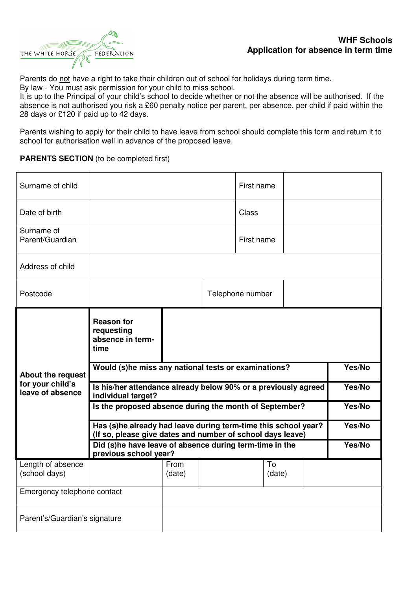

Parents do not have a right to take their children out of school for holidays during term time. By law - You must ask permission for your child to miss school.

It is up to the Principal of your child's school to decide whether or not the absence will be authorised. If the absence is not authorised you risk a £60 penalty notice per parent, per absence, per child if paid within the 28 days or £120 if paid up to 42 days.

Parents wishing to apply for their child to have leave from school should complete this form and return it to school for authorisation well in advance of the proposed leave.

## **PARENTS SECTION** (to be completed first)

| Surname of child                                                 |                                                                                                                              |        |  | First name       |  |        |
|------------------------------------------------------------------|------------------------------------------------------------------------------------------------------------------------------|--------|--|------------------|--|--------|
| Date of birth                                                    |                                                                                                                              |        |  | Class            |  |        |
| Surname of<br>Parent/Guardian                                    |                                                                                                                              |        |  | First name       |  |        |
| Address of child                                                 |                                                                                                                              |        |  |                  |  |        |
| Postcode                                                         |                                                                                                                              |        |  | Telephone number |  |        |
| <b>About the request</b><br>for your child's<br>leave of absence | <b>Reason for</b><br>requesting<br>absence in term-<br>time                                                                  |        |  |                  |  |        |
|                                                                  | Yes/No<br>Would (s)he miss any national tests or examinations?                                                               |        |  |                  |  |        |
|                                                                  | Is his/her attendance already below 90% or a previously agreed                                                               | Yes/No |  |                  |  |        |
|                                                                  | individual target?                                                                                                           |        |  |                  |  |        |
|                                                                  | Is the proposed absence during the month of September?                                                                       |        |  |                  |  | Yes/No |
|                                                                  | Has (s)he already had leave during term-time this school year?<br>(If so, please give dates and number of school days leave) |        |  |                  |  | Yes/No |
|                                                                  | Did (s)he have leave of absence during term-time in the                                                                      |        |  |                  |  | Yes/No |
| Length of absence                                                | previous school year?                                                                                                        | From   |  | To               |  |        |
| (school days)                                                    |                                                                                                                              | (date) |  | (date)           |  |        |
| Emergency telephone contact                                      |                                                                                                                              |        |  |                  |  |        |